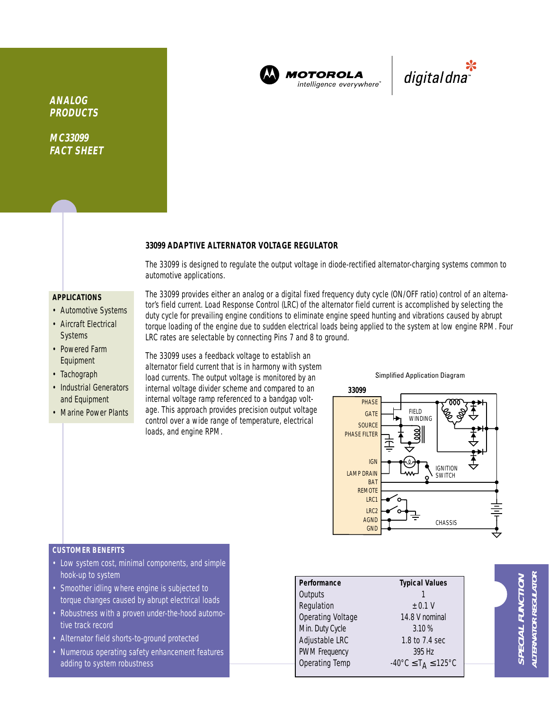

**MOTOROLA** intelligence everywhere

\*<br>"digital dna

**ANALOG PRODUCTS**

**MC33099 FACT SHEET**

# **33099 ADAPTIVE ALTERNATOR VOLTAGE REGULATOR**

The 33099 is designed to regulate the output voltage in diode-rectified alternator-charging systems common to automotive applications.

## **APPLICATIONS**

- Automotive Systems
- Aircraft Electrical **Systems**
- Powered Farm Equipment
- Tachograph
- Industrial Generators and Equipment
- Marine Power Plants

The 33099 provides either an analog or a digital fixed frequency duty cycle (ON/OFF ratio) control of an alternator's field current. Load Response Control (LRC) of the alternator field current is accomplished by selecting the duty cycle for prevailing engine conditions to eliminate engine speed hunting and vibrations caused by abrupt torque loading of the engine due to sudden electrical loads being applied to the system at low engine RPM. Four LRC rates are selectable by connecting Pins 7 and 8 to ground.

The 33099 uses a feedback voltage to establish an alternator field current that is in harmony with system load currents. The output voltage is monitored by an internal voltage divider scheme and compared to an internal voltage ramp referenced to a bandgap voltage. This approach provides precision output voltage control over a wide range of temperature, electrical loads, and engine RPM.

Simplified Application Diagram



## **CUSTOMER BENEFITS**

- Low system cost, minimal components, and simple hook-up to system
- Smoother idling where engine is subjected to torque changes caused by abrupt electrical loads
- Robustness with a proven under-the-hood automotive track record
- Alternator field shorts-to-ground protected
- Numerous operating safety enhancement features adding to system robustness

| Performance<br><b>Typical Values</b> |                                                               |
|--------------------------------------|---------------------------------------------------------------|
| Outputs                              |                                                               |
| Regulation                           | ± 0.1 V                                                       |
| Operating Voltage                    | 14.8 V nominal                                                |
|                                      | 3.10%                                                         |
| Min. Duty Cycle                      |                                                               |
| Adjustable LRC                       | 1.8 to 7.4 sec                                                |
| <b>PWM Frequency</b>                 | 395 Hz                                                        |
| <b>Operating Temp</b>                | $-40^{\circ}$ C $\leq$ T <sub>A</sub> $\leq$ 125 $^{\circ}$ C |
|                                      |                                                               |

**ALTERNATOR REGULATOR SPECIAL FUNCTION ALTERNATOR REGULATOI** SPECIAL FUNCTION